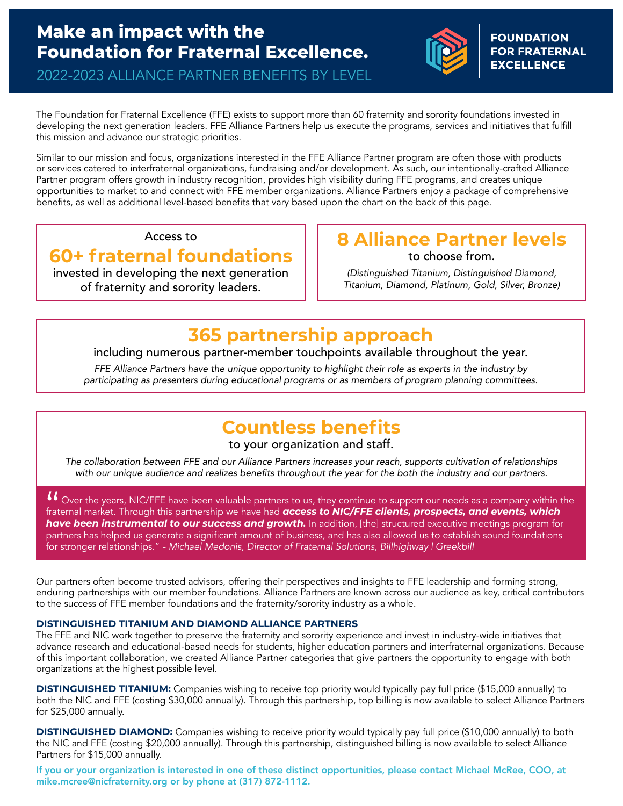## **Make an impact with the Foundation for Fraternal Excellence.**



**FOUNDATION EXCELLENCE** 

2022-2023 ALLIANCE PARTNER BENEFITS BY LEVEL

The Foundation for Fraternal Excellence (FFE) exists to support more than 60 fraternity and sorority foundations invested in developing the next generation leaders. FFE Alliance Partners help us execute the programs, services and initiatives that fulfill this mission and advance our strategic priorities.

Similar to our mission and focus, organizations interested in the FFE Alliance Partner program are often those with products or services catered to interfraternal organizations, fundraising and/or development. As such, our intentionally-crafted Alliance Partner program offers growth in industry recognition, provides high visibility during FFE programs, and creates unique opportunities to market to and connect with FFE member organizations. Alliance Partners enjoy a package of comprehensive benefits, as well as additional level-based benefits that vary based upon the chart on the back of this page.

Access to

### **60+ fraternal foundations**

invested in developing the next generation of fraternity and sorority leaders.

#### **8 Alliance Partner levels**  to choose from.

*(Distinguished Titanium, Distinguished Diamond, Titanium, Diamond, Platinum, Gold, Silver, Bronze)*

## **365 partnership approach**

including numerous partner-member touchpoints available throughout the year.

*FFE Alliance Partners have the unique opportunity to highlight their role as experts in the industry by*  participating as presenters during educational programs or as members of program planning committees.

# **Countless benefits**

#### to your organization and staff.

*The collaboration between FFE and our Alliance Partners increases your reach, supports cultivation of relationships*  with our unique audience and realizes benefits throughout the year for the both the industry and our partners.

II Over the years, NIC/FFE have been valuable partners to us, they continue to support our needs as a company within the fraternal market. Through this partnership we have had *access to NIC/FFE clients, prospects, and events, which have been instrumental to our success and growth.* In addition, [the] structured executive meetings program for partners has helped us generate a significant amount of business, and has also allowed us to establish sound foundations for stronger relationships." *- Michael Medonis, Director of Fraternal Solutions, Billhighway | Greekbill*

Our partners often become trusted advisors, offering their perspectives and insights to FFE leadership and forming strong, enduring partnerships with our member foundations. Alliance Partners are known across our audience as key, critical contributors to the success of FFE member foundations and the fraternity/sorority industry as a whole.

#### **DISTINGUISHED TITANIUM AND DIAMOND ALLIANCE PARTNERS**

The FFE and NIC work together to preserve the fraternity and sorority experience and invest in industry-wide initiatives that advance research and educational-based needs for students, higher education partners and interfraternal organizations. Because of this important collaboration, we created Alliance Partner categories that give partners the opportunity to engage with both organizations at the highest possible level.

**DISTINGUISHED TITANIUM:** Companies wishing to receive top priority would typically pay full price (\$15,000 annually) to both the NIC and FFE (costing \$30,000 annually). Through this partnership, top billing is now available to select Alliance Partners for \$25,000 annually.

**DISTINGUISHED DIAMOND:** Companies wishing to receive priority would typically pay full price (\$10,000 annually) to both the NIC and FFE (costing \$20,000 annually). Through this partnership, distinguished billing is now available to select Alliance Partners for \$15,000 annually.

If you or your organization is interested in one of these distinct opportunities, please contact Michael McRee, COO, at [mike.mcree@nicfraternity.org](mailto:mike.mcree@nicfraternity.org) or by phone at (317) 872-1112.